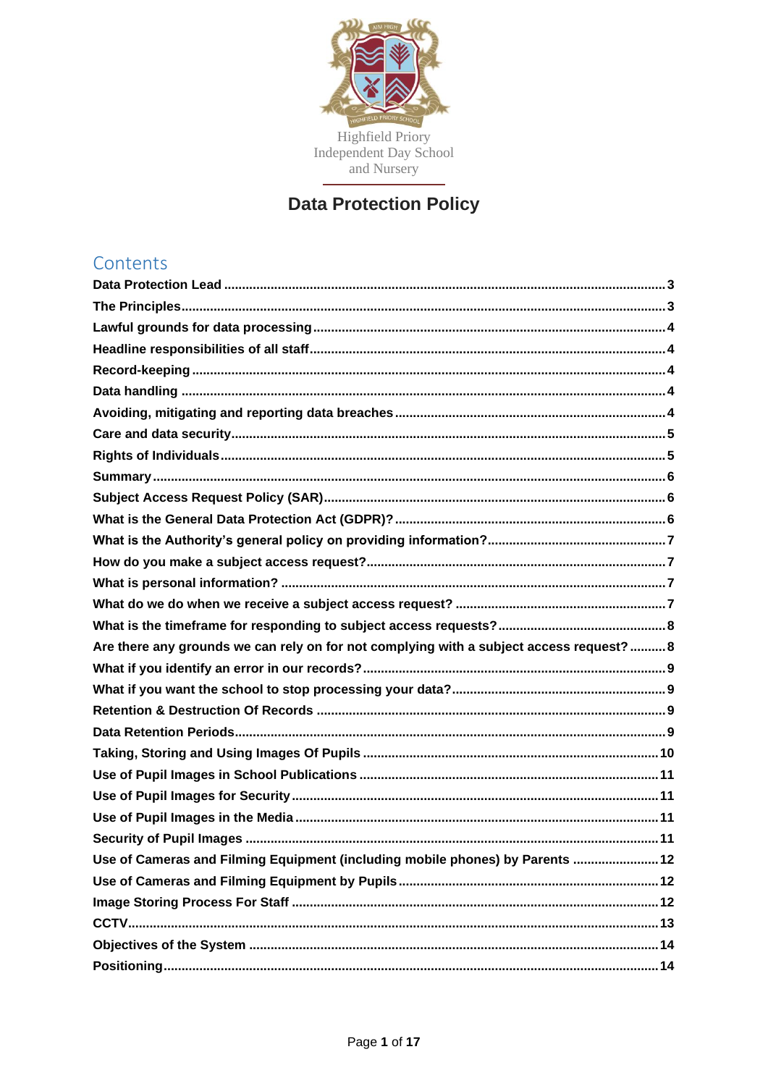

# **Data Protection Policy**

# Contents

| Are there any grounds we can rely on for not complying with a subject access request?  8 |
|------------------------------------------------------------------------------------------|
|                                                                                          |
|                                                                                          |
|                                                                                          |
|                                                                                          |
|                                                                                          |
|                                                                                          |
|                                                                                          |
|                                                                                          |
|                                                                                          |
| Use of Cameras and Filming Equipment (including mobile phones) by Parents  12            |
|                                                                                          |
|                                                                                          |
|                                                                                          |
|                                                                                          |
|                                                                                          |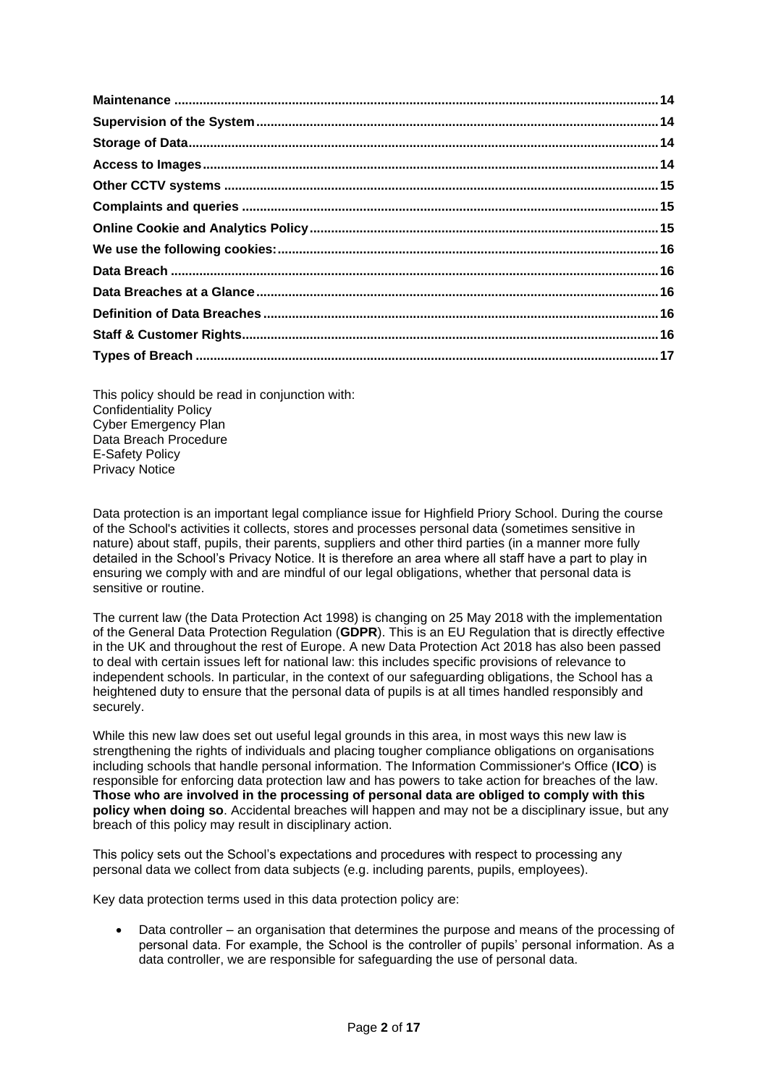This policy should be read in conjunction with: Confidentiality Policy Cyber Emergency Plan Data Breach Procedure E-Safety Policy Privacy Notice

Data protection is an important legal compliance issue for Highfield Priory School. During the course of the School's activities it collects, stores and processes personal data (sometimes sensitive in nature) about staff, pupils, their parents, suppliers and other third parties (in a manner more fully detailed in the School's Privacy Notice. It is therefore an area where all staff have a part to play in ensuring we comply with and are mindful of our legal obligations, whether that personal data is sensitive or routine.

The current law (the Data Protection Act 1998) is changing on 25 May 2018 with the implementation of the General Data Protection Regulation (**GDPR**). This is an EU Regulation that is directly effective in the UK and throughout the rest of Europe. A new Data Protection Act 2018 has also been passed to deal with certain issues left for national law: this includes specific provisions of relevance to independent schools. In particular, in the context of our safeguarding obligations, the School has a heightened duty to ensure that the personal data of pupils is at all times handled responsibly and securely.

While this new law does set out useful legal grounds in this area, in most ways this new law is strengthening the rights of individuals and placing tougher compliance obligations on organisations including schools that handle personal information. The Information Commissioner's Office (**ICO**) is responsible for enforcing data protection law and has powers to take action for breaches of the law. **Those who are involved in the processing of personal data are obliged to comply with this policy when doing so**. Accidental breaches will happen and may not be a disciplinary issue, but any breach of this policy may result in disciplinary action.

This policy sets out the School's expectations and procedures with respect to processing any personal data we collect from data subjects (e.g. including parents, pupils, employees).

Key data protection terms used in this data protection policy are:

• Data controller – an organisation that determines the purpose and means of the processing of personal data. For example, the School is the controller of pupils' personal information. As a data controller, we are responsible for safeguarding the use of personal data.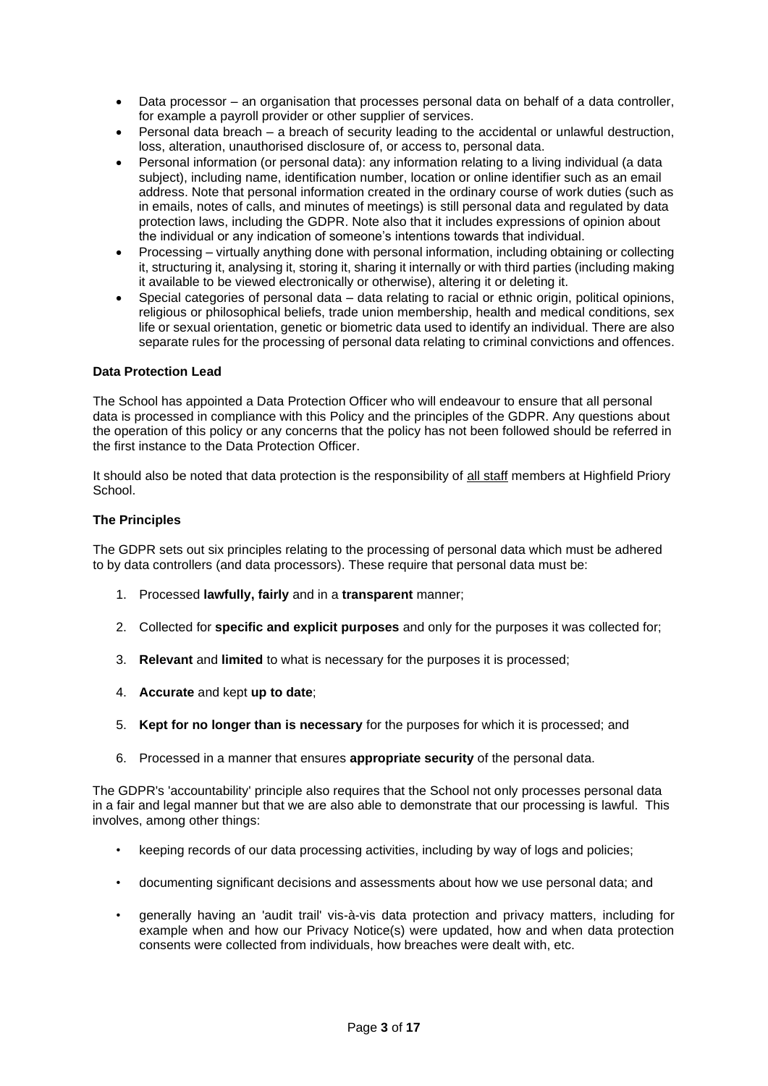- Data processor an organisation that processes personal data on behalf of a data controller, for example a payroll provider or other supplier of services.
- Personal data breach a breach of security leading to the accidental or unlawful destruction, loss, alteration, unauthorised disclosure of, or access to, personal data.
- Personal information (or personal data): any information relating to a living individual (a data subject), including name, identification number, location or online identifier such as an email address. Note that personal information created in the ordinary course of work duties (such as in emails, notes of calls, and minutes of meetings) is still personal data and regulated by data protection laws, including the GDPR. Note also that it includes expressions of opinion about the individual or any indication of someone's intentions towards that individual.
- Processing virtually anything done with personal information, including obtaining or collecting it, structuring it, analysing it, storing it, sharing it internally or with third parties (including making it available to be viewed electronically or otherwise), altering it or deleting it.
- Special categories of personal data data relating to racial or ethnic origin, political opinions, religious or philosophical beliefs, trade union membership, health and medical conditions, sex life or sexual orientation, genetic or biometric data used to identify an individual. There are also separate rules for the processing of personal data relating to criminal convictions and offences.

# <span id="page-2-0"></span>**Data Protection Lead**

The School has appointed a Data Protection Officer who will endeavour to ensure that all personal data is processed in compliance with this Policy and the principles of the GDPR. Any questions about the operation of this policy or any concerns that the policy has not been followed should be referred in the first instance to the Data Protection Officer.

It should also be noted that data protection is the responsibility of all staff members at Highfield Priory School.

# <span id="page-2-1"></span>**The Principles**

The GDPR sets out six principles relating to the processing of personal data which must be adhered to by data controllers (and data processors). These require that personal data must be:

- 1. Processed **lawfully, fairly** and in a **transparent** manner;
- 2. Collected for **specific and explicit purposes** and only for the purposes it was collected for;
- 3. **Relevant** and **limited** to what is necessary for the purposes it is processed;
- 4. **Accurate** and kept **up to date**;
- 5. **Kept for no longer than is necessary** for the purposes for which it is processed; and
- 6. Processed in a manner that ensures **appropriate security** of the personal data.

The GDPR's 'accountability' principle also requires that the School not only processes personal data in a fair and legal manner but that we are also able to demonstrate that our processing is lawful. This involves, among other things:

- keeping records of our data processing activities, including by way of logs and policies;
- documenting significant decisions and assessments about how we use personal data; and
- generally having an 'audit trail' vis-à-vis data protection and privacy matters, including for example when and how our Privacy Notice(s) were updated, how and when data protection consents were collected from individuals, how breaches were dealt with, etc.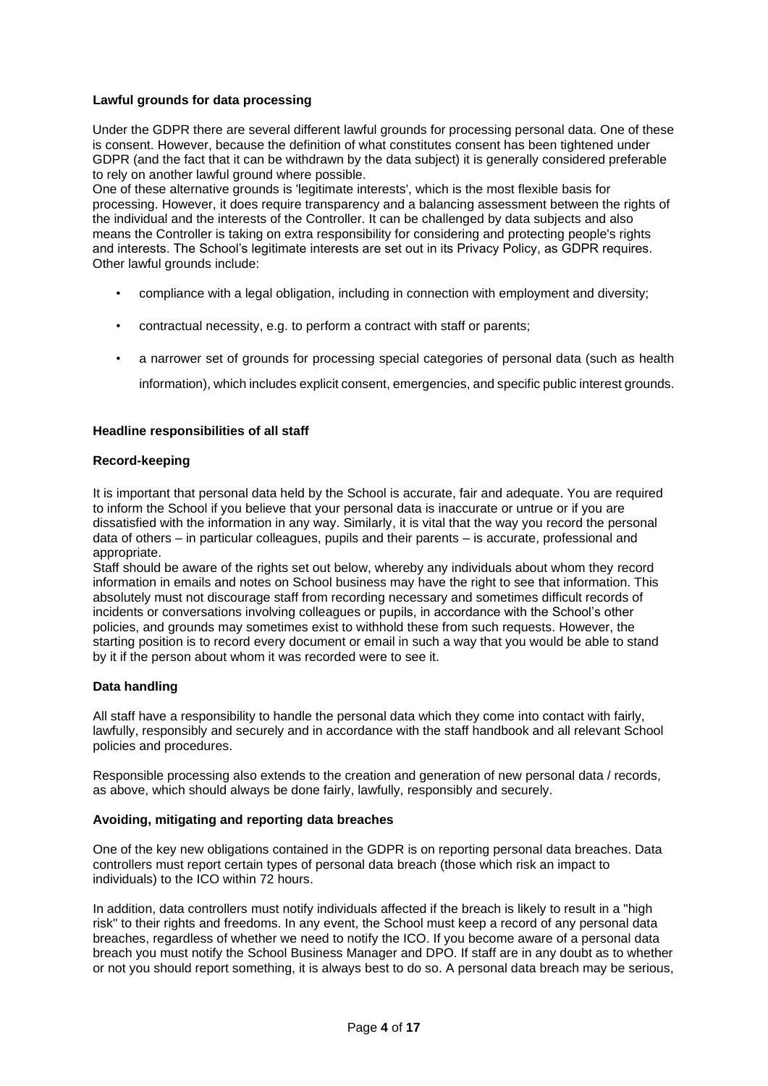# <span id="page-3-0"></span>**Lawful grounds for data processing**

Under the GDPR there are several different lawful grounds for processing personal data. One of these is consent. However, because the definition of what constitutes consent has been tightened under GDPR (and the fact that it can be withdrawn by the data subject) it is generally considered preferable to rely on another lawful ground where possible.

One of these alternative grounds is 'legitimate interests', which is the most flexible basis for processing. However, it does require transparency and a balancing assessment between the rights of the individual and the interests of the Controller. It can be challenged by data subjects and also means the Controller is taking on extra responsibility for considering and protecting people's rights and interests. The School's legitimate interests are set out in its Privacy Policy, as GDPR requires. Other lawful grounds include:

- compliance with a legal obligation, including in connection with employment and diversity;
- contractual necessity, e.g. to perform a contract with staff or parents;
- a narrower set of grounds for processing special categories of personal data (such as health

information), which includes explicit consent, emergencies, and specific public interest grounds.

# <span id="page-3-1"></span>**Headline responsibilities of all staff**

#### <span id="page-3-2"></span>**Record-keeping**

It is important that personal data held by the School is accurate, fair and adequate. You are required to inform the School if you believe that your personal data is inaccurate or untrue or if you are dissatisfied with the information in any way. Similarly, it is vital that the way you record the personal data of others – in particular colleagues, pupils and their parents – is accurate, professional and appropriate.

Staff should be aware of the rights set out below, whereby any individuals about whom they record information in emails and notes on School business may have the right to see that information. This absolutely must not discourage staff from recording necessary and sometimes difficult records of incidents or conversations involving colleagues or pupils, in accordance with the School's other policies, and grounds may sometimes exist to withhold these from such requests. However, the starting position is to record every document or email in such a way that you would be able to stand by it if the person about whom it was recorded were to see it.

#### <span id="page-3-3"></span>**Data handling**

All staff have a responsibility to handle the personal data which they come into contact with fairly, lawfully, responsibly and securely and in accordance with the staff handbook and all relevant School policies and procedures.

Responsible processing also extends to the creation and generation of new personal data / records, as above, which should always be done fairly, lawfully, responsibly and securely.

#### <span id="page-3-4"></span>**Avoiding, mitigating and reporting data breaches**

One of the key new obligations contained in the GDPR is on reporting personal data breaches. Data controllers must report certain types of personal data breach (those which risk an impact to individuals) to the ICO within 72 hours.

In addition, data controllers must notify individuals affected if the breach is likely to result in a "high risk" to their rights and freedoms. In any event, the School must keep a record of any personal data breaches, regardless of whether we need to notify the ICO. If you become aware of a personal data breach you must notify the School Business Manager and DPO. If staff are in any doubt as to whether or not you should report something, it is always best to do so. A personal data breach may be serious,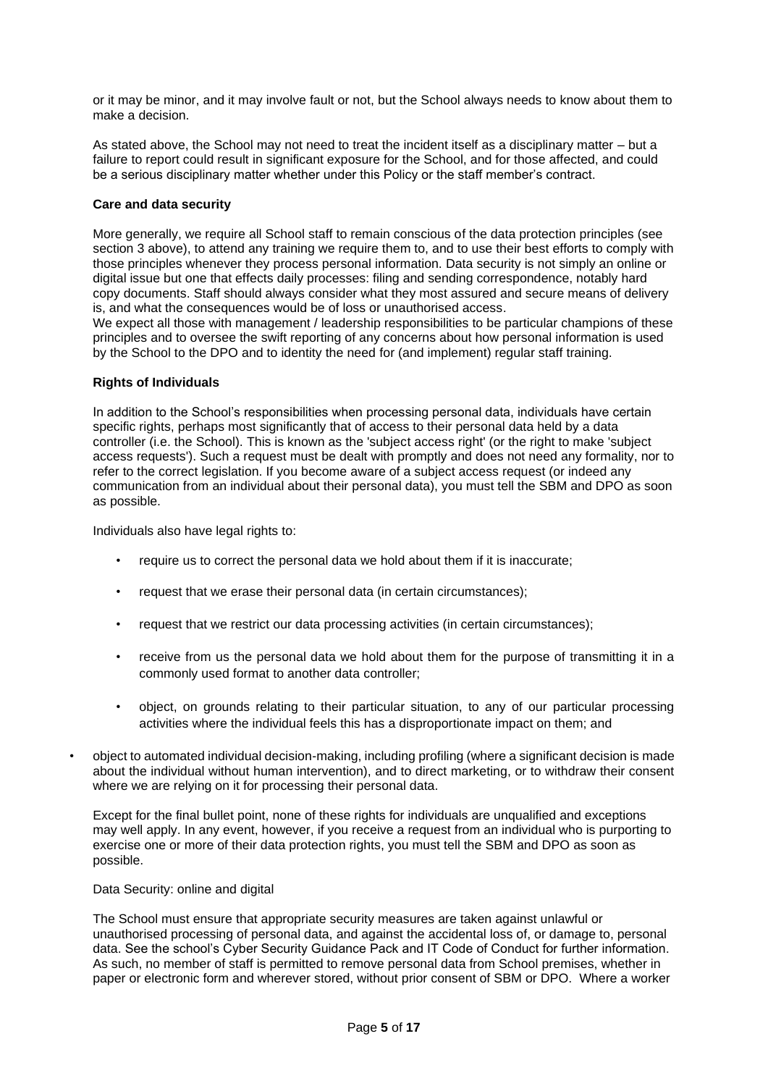or it may be minor, and it may involve fault or not, but the School always needs to know about them to make a decision.

As stated above, the School may not need to treat the incident itself as a disciplinary matter – but a failure to report could result in significant exposure for the School, and for those affected, and could be a serious disciplinary matter whether under this Policy or the staff member's contract.

# <span id="page-4-0"></span>**Care and data security**

More generally, we require all School staff to remain conscious of the data protection principles (see section 3 above), to attend any training we require them to, and to use their best efforts to comply with those principles whenever they process personal information. Data security is not simply an online or digital issue but one that effects daily processes: filing and sending correspondence, notably hard copy documents. Staff should always consider what they most assured and secure means of delivery is, and what the consequences would be of loss or unauthorised access.

We expect all those with management / leadership responsibilities to be particular champions of these principles and to oversee the swift reporting of any concerns about how personal information is used by the School to the DPO and to identity the need for (and implement) regular staff training.

# <span id="page-4-1"></span>**Rights of Individuals**

In addition to the School's responsibilities when processing personal data, individuals have certain specific rights, perhaps most significantly that of access to their personal data held by a data controller (i.e. the School). This is known as the 'subject access right' (or the right to make 'subject access requests'). Such a request must be dealt with promptly and does not need any formality, nor to refer to the correct legislation. If you become aware of a subject access request (or indeed any communication from an individual about their personal data), you must tell the SBM and DPO as soon as possible.

Individuals also have legal rights to:

- require us to correct the personal data we hold about them if it is inaccurate;
- request that we erase their personal data (in certain circumstances):
- request that we restrict our data processing activities (in certain circumstances);
- receive from us the personal data we hold about them for the purpose of transmitting it in a commonly used format to another data controller;
- object, on grounds relating to their particular situation, to any of our particular processing activities where the individual feels this has a disproportionate impact on them; and
- object to automated individual decision-making, including profiling (where a significant decision is made about the individual without human intervention), and to direct marketing, or to withdraw their consent where we are relying on it for processing their personal data.

Except for the final bullet point, none of these rights for individuals are unqualified and exceptions may well apply. In any event, however, if you receive a request from an individual who is purporting to exercise one or more of their data protection rights, you must tell the SBM and DPO as soon as possible.

#### Data Security: online and digital

The School must ensure that appropriate security measures are taken against unlawful or unauthorised processing of personal data, and against the accidental loss of, or damage to, personal data. See the school's Cyber Security Guidance Pack and IT Code of Conduct for further information. As such, no member of staff is permitted to remove personal data from School premises, whether in paper or electronic form and wherever stored, without prior consent of SBM or DPO. Where a worker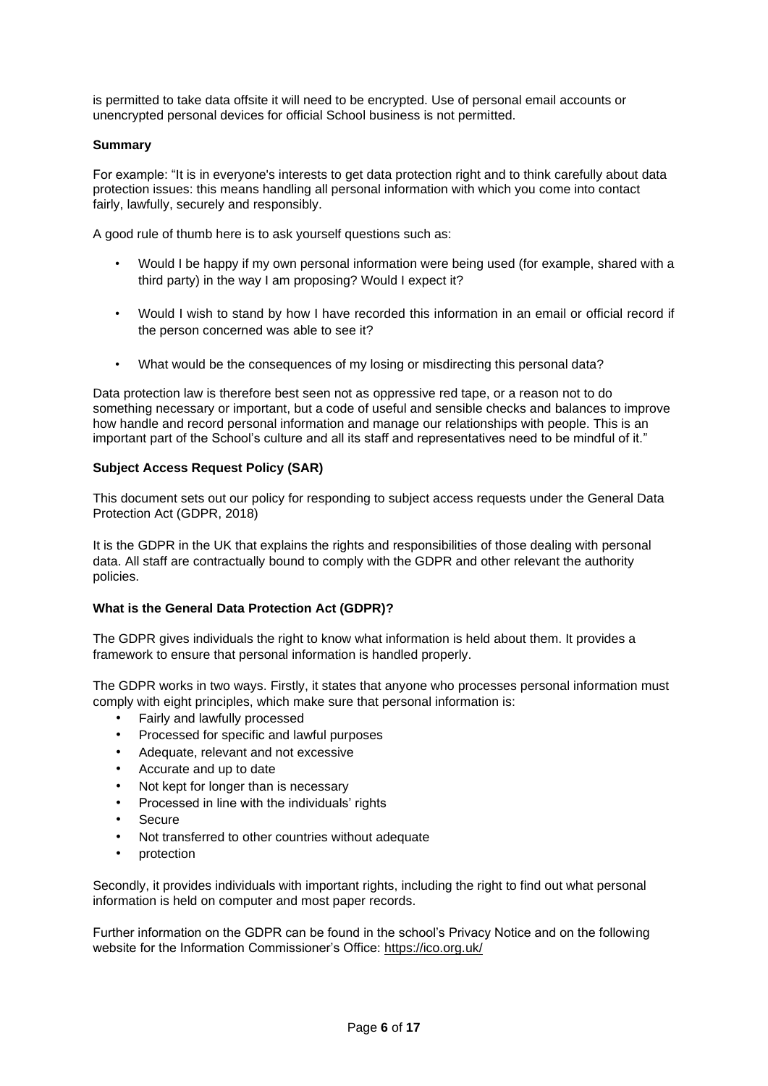is permitted to take data offsite it will need to be encrypted. Use of personal email accounts or unencrypted personal devices for official School business is not permitted.

# <span id="page-5-0"></span>**Summary**

For example: "It is in everyone's interests to get data protection right and to think carefully about data protection issues: this means handling all personal information with which you come into contact fairly, lawfully, securely and responsibly.

A good rule of thumb here is to ask yourself questions such as:

- Would I be happy if my own personal information were being used (for example, shared with a third party) in the way I am proposing? Would I expect it?
- Would I wish to stand by how I have recorded this information in an email or official record if the person concerned was able to see it?
- What would be the consequences of my losing or misdirecting this personal data?

Data protection law is therefore best seen not as oppressive red tape, or a reason not to do something necessary or important, but a code of useful and sensible checks and balances to improve how handle and record personal information and manage our relationships with people. This is an important part of the School's culture and all its staff and representatives need to be mindful of it."

# <span id="page-5-1"></span>**Subject Access Request Policy (SAR)**

This document sets out our policy for responding to subject access requests under the General Data Protection Act (GDPR, 2018)

It is the GDPR in the UK that explains the rights and responsibilities of those dealing with personal data. All staff are contractually bound to comply with the GDPR and other relevant the authority policies.

# <span id="page-5-2"></span>**What is the General Data Protection Act (GDPR)?**

The GDPR gives individuals the right to know what information is held about them. It provides a framework to ensure that personal information is handled properly.

The GDPR works in two ways. Firstly, it states that anyone who processes personal information must comply with eight principles, which make sure that personal information is:

- Fairly and lawfully processed
- Processed for specific and lawful purposes
- Adequate, relevant and not excessive
- Accurate and up to date
- Not kept for longer than is necessary
- Processed in line with the individuals' rights
- **Secure**
- Not transferred to other countries without adequate
- protection

Secondly, it provides individuals with important rights, including the right to find out what personal information is held on computer and most paper records.

Further information on the GDPR can be found in the school's Privacy Notice and on the following website for the Information Commissioner's Office[:](https://ico.org.uk/) <https://ico.org.uk/>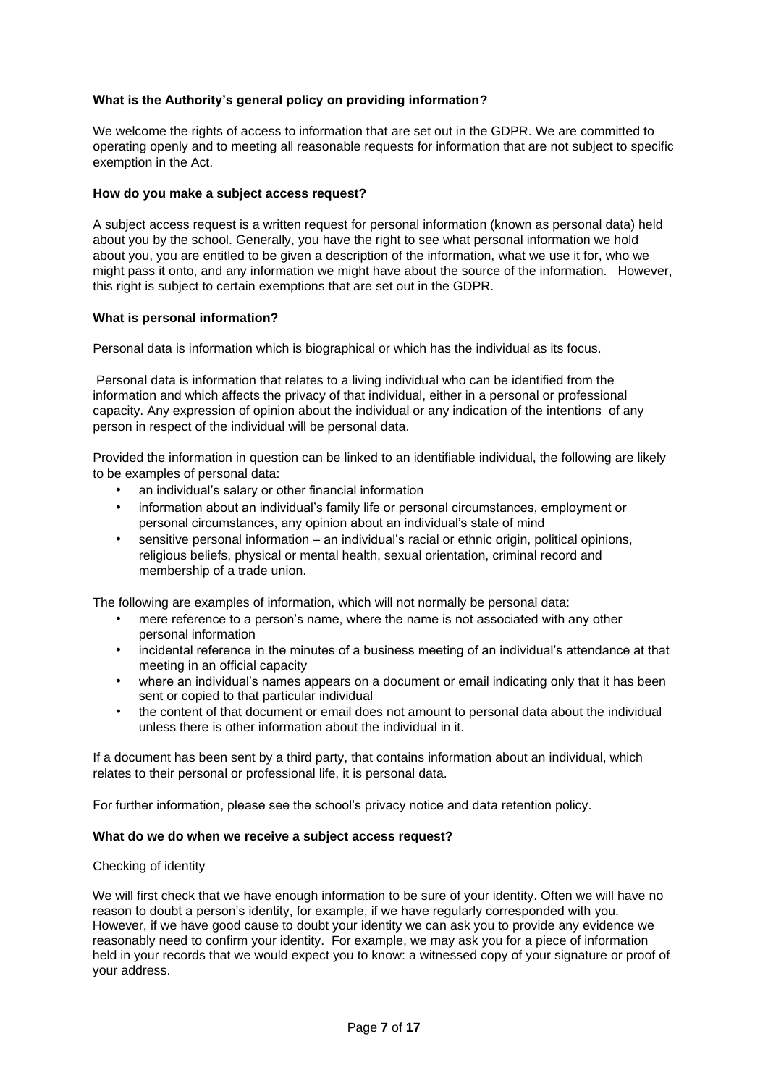# <span id="page-6-0"></span>**What is the Authority's general policy on providing information?**

We welcome the rights of access to information that are set out in the GDPR. We are committed to operating openly and to meeting all reasonable requests for information that are not subject to specific exemption in the Act.

# <span id="page-6-1"></span>**How do you make a subject access request?**

A subject access request is a written request for personal information (known as personal data) held about you by the school. Generally, you have the right to see what personal information we hold about you, you are entitled to be given a description of the information, what we use it for, who we might pass it onto, and any information we might have about the source of the information. However, this right is subject to certain exemptions that are set out in the GDPR.

# <span id="page-6-2"></span>**What is personal information?**

Personal data is information which is biographical or which has the individual as its focus.

Personal data is information that relates to a living individual who can be identified from the information and which affects the privacy of that individual, either in a personal or professional capacity. Any expression of opinion about the individual or any indication of the intentions of any person in respect of the individual will be personal data.

Provided the information in question can be linked to an identifiable individual, the following are likely to be examples of personal data:

- an individual's salary or other financial information
- information about an individual's family life or personal circumstances, employment or personal circumstances, any opinion about an individual's state of mind
- sensitive personal information an individual's racial or ethnic origin, political opinions, religious beliefs, physical or mental health, sexual orientation, criminal record and membership of a trade union.

The following are examples of information, which will not normally be personal data:

- mere reference to a person's name, where the name is not associated with any other personal information
- incidental reference in the minutes of a business meeting of an individual's attendance at that meeting in an official capacity
- where an individual's names appears on a document or email indicating only that it has been sent or copied to that particular individual
- the content of that document or email does not amount to personal data about the individual unless there is other information about the individual in it.

If a document has been sent by a third party, that contains information about an individual, which relates to their personal or professional life, it is personal data.

For further information, please see the school's privacy notice and data retention policy.

#### <span id="page-6-3"></span>**What do we do when we receive a subject access request?**

#### Checking of identity

We will first check that we have enough information to be sure of your identity. Often we will have no reason to doubt a person's identity, for example, if we have regularly corresponded with you. However, if we have good cause to doubt your identity we can ask you to provide any evidence we reasonably need to confirm your identity. For example, we may ask you for a piece of information held in your records that we would expect you to know: a witnessed copy of your signature or proof of your address.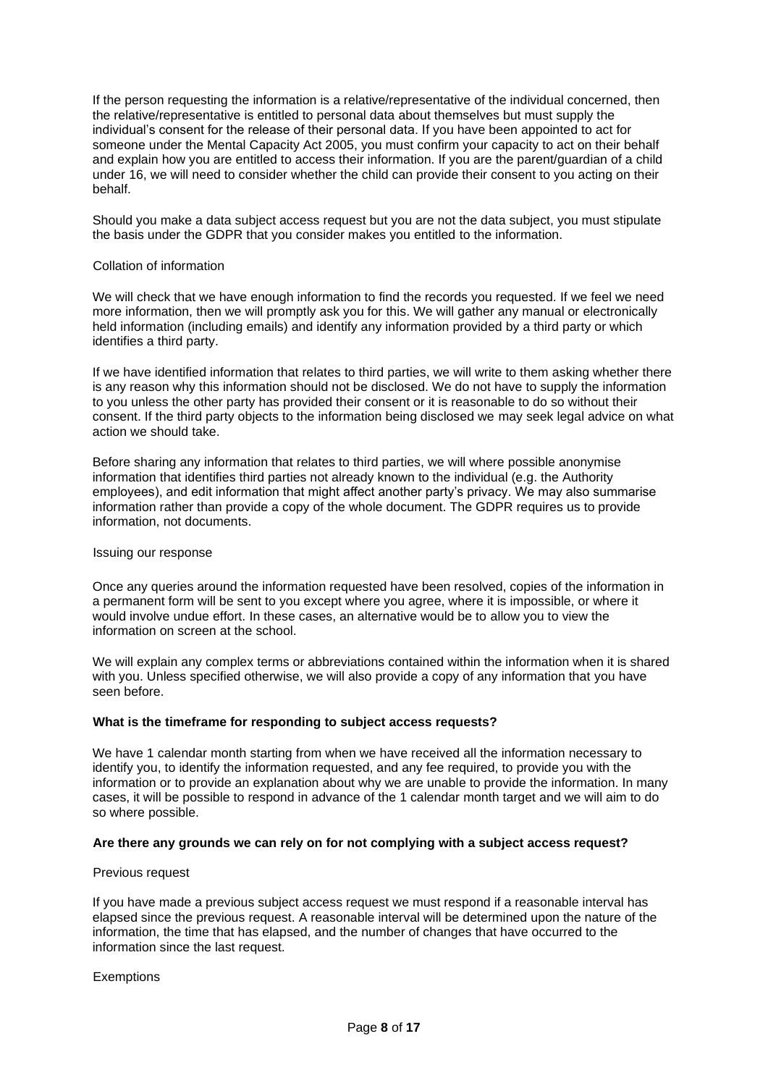If the person requesting the information is a relative/representative of the individual concerned, then the relative/representative is entitled to personal data about themselves but must supply the individual's consent for the release of their personal data. If you have been appointed to act for someone under the Mental Capacity Act 2005, you must confirm your capacity to act on their behalf and explain how you are entitled to access their information. If you are the parent/guardian of a child under 16, we will need to consider whether the child can provide their consent to you acting on their behalf.

Should you make a data subject access request but you are not the data subject, you must stipulate the basis under the GDPR that you consider makes you entitled to the information.

#### Collation of information

We will check that we have enough information to find the records you requested. If we feel we need more information, then we will promptly ask you for this. We will gather any manual or electronically held information (including emails) and identify any information provided by a third party or which identifies a third party.

If we have identified information that relates to third parties, we will write to them asking whether there is any reason why this information should not be disclosed. We do not have to supply the information to you unless the other party has provided their consent or it is reasonable to do so without their consent. If the third party objects to the information being disclosed we may seek legal advice on what action we should take.

Before sharing any information that relates to third parties, we will where possible anonymise information that identifies third parties not already known to the individual (e.g. the Authority employees), and edit information that might affect another party's privacy. We may also summarise information rather than provide a copy of the whole document. The GDPR requires us to provide information, not documents.

#### Issuing our response

Once any queries around the information requested have been resolved, copies of the information in a permanent form will be sent to you except where you agree, where it is impossible, or where it would involve undue effort. In these cases, an alternative would be to allow you to view the information on screen at the school.

We will explain any complex terms or abbreviations contained within the information when it is shared with you. Unless specified otherwise, we will also provide a copy of any information that you have seen before.

#### <span id="page-7-0"></span>**What is the timeframe for responding to subject access requests?**

We have 1 calendar month starting from when we have received all the information necessary to identify you, to identify the information requested, and any fee required, to provide you with the information or to provide an explanation about why we are unable to provide the information. In many cases, it will be possible to respond in advance of the 1 calendar month target and we will aim to do so where possible.

#### <span id="page-7-1"></span>**Are there any grounds we can rely on for not complying with a subject access request?**

#### Previous request

If you have made a previous subject access request we must respond if a reasonable interval has elapsed since the previous request. A reasonable interval will be determined upon the nature of the information, the time that has elapsed, and the number of changes that have occurred to the information since the last request.

#### **Exemptions**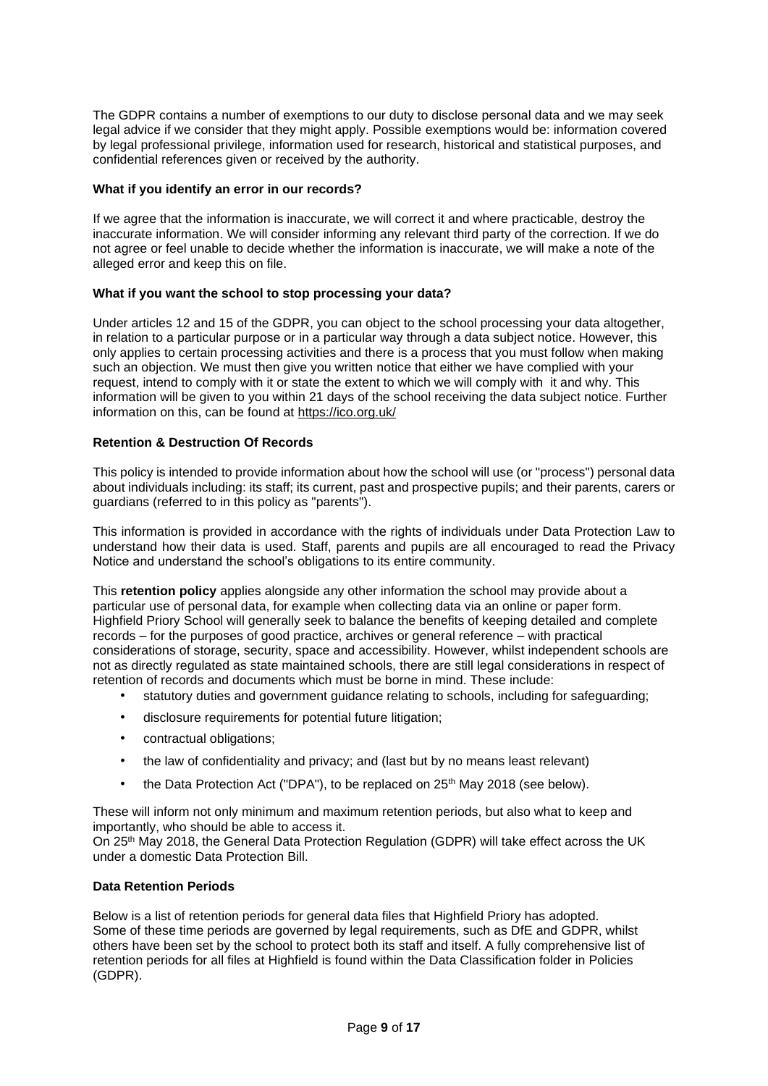The GDPR contains a number of exemptions to our duty to disclose personal data and we may seek legal advice if we consider that they might apply. Possible exemptions would be: information covered by legal professional privilege, information used for research, historical and statistical purposes, and confidential references given or received by the authority.

# <span id="page-8-0"></span>**What if you identify an error in our records?**

If we agree that the information is inaccurate, we will correct it and where practicable, destroy the inaccurate information. We will consider informing any relevant third party of the correction. If we do not agree or feel unable to decide whether the information is inaccurate, we will make a note of the alleged error and keep this on file.

# <span id="page-8-1"></span>**What if you want the school to stop processing your data?**

Under articles 12 and 15 of the GDPR, you can object to the school processing your data altogether, in relation to a particular purpose or in a particular way through a data subject notice. However, this only applies to certain processing activities and there is a process that you must follow when making such an objection. We must then give you written notice that either we have complied with your request, intend to comply with it or state the extent to which we will comply with it and why. This information will be given to you within 21 days of the school receiving the data subject notice. Further information on this, can be found a[t](https://ico.org.uk/) <https://ico.org.uk/>

# <span id="page-8-2"></span>**Retention & Destruction Of Records**

This policy is intended to provide information about how the school will use (or "process") personal data about individuals including: its staff; its current, past and prospective pupils; and their parents, carers or guardians (referred to in this policy as "parents").

This information is provided in accordance with the rights of individuals under Data Protection Law to understand how their data is used. Staff, parents and pupils are all encouraged to read the Privacy Notice and understand the school's obligations to its entire community.

This **retention policy** applies alongside any other information the school may provide about a particular use of personal data, for example when collecting data via an online or paper form. Highfield Priory School will generally seek to balance the benefits of keeping detailed and complete records – for the purposes of good practice, archives or general reference – with practical considerations of storage, security, space and accessibility. However, whilst independent schools are not as directly regulated as state maintained schools, there are still legal considerations in respect of retention of records and documents which must be borne in mind. These include:

- statutory duties and government guidance relating to schools, including for safeguarding;
- disclosure requirements for potential future litigation;
- contractual obligations;
- the law of confidentiality and privacy; and (last but by no means least relevant)
- the Data Protection Act ("DPA"), to be replaced on 25<sup>th</sup> May 2018 (see below).

These will inform not only minimum and maximum retention periods, but also what to keep and importantly, who should be able to access it.

On 25<sup>th</sup> May 2018, the General Data Protection Regulation (GDPR) will take effect across the UK under a domestic Data Protection Bill.

# <span id="page-8-3"></span>**Data Retention Periods**

Below is a list of retention periods for general data files that Highfield Priory has adopted. Some of these time periods are governed by legal requirements, such as DfE and GDPR, whilst others have been set by the school to protect both its staff and itself. A fully comprehensive list of retention periods for all files at Highfield is found within the Data Classification folder in Policies (GDPR).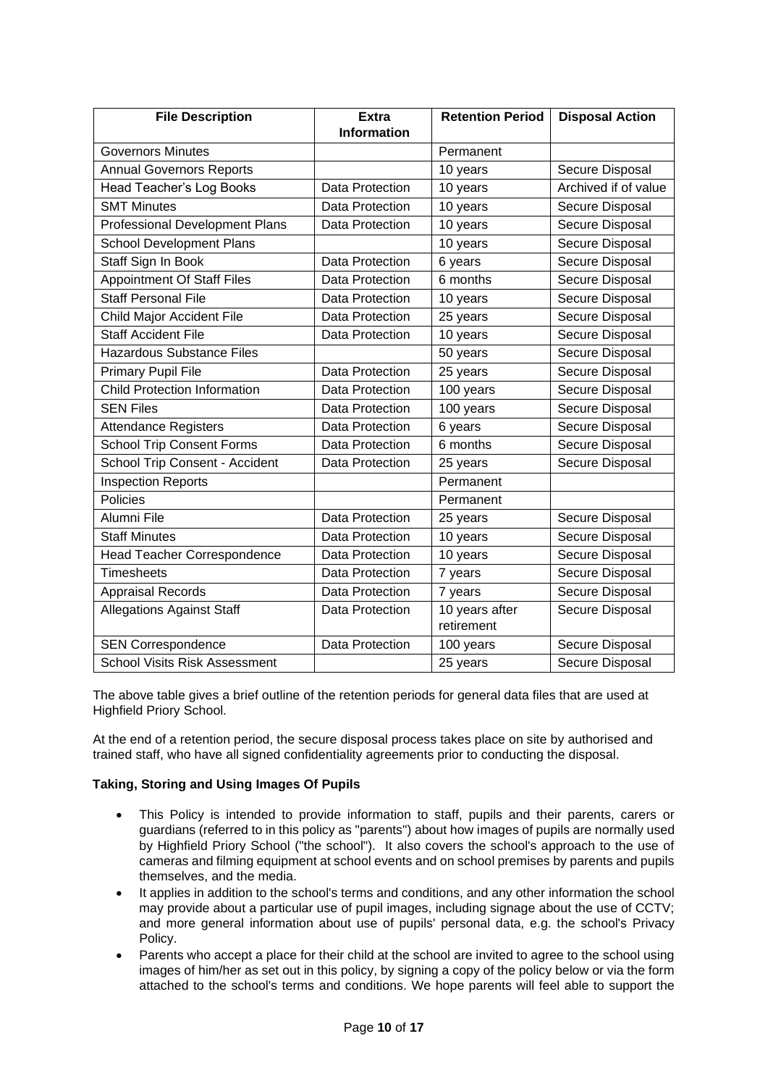| <b>File Description</b>               | <b>Extra</b>           | <b>Retention Period</b>      | <b>Disposal Action</b> |
|---------------------------------------|------------------------|------------------------------|------------------------|
|                                       | <b>Information</b>     |                              |                        |
| <b>Governors Minutes</b>              |                        | Permanent                    |                        |
| <b>Annual Governors Reports</b>       |                        | 10 years                     | Secure Disposal        |
| Head Teacher's Log Books              | Data Protection        | 10 years                     | Archived if of value   |
| <b>SMT Minutes</b>                    | Data Protection        | 10 years                     | Secure Disposal        |
| <b>Professional Development Plans</b> | Data Protection        | 10 years                     | Secure Disposal        |
| <b>School Development Plans</b>       |                        | 10 years                     | Secure Disposal        |
| Staff Sign In Book                    | Data Protection        | 6 years                      | Secure Disposal        |
| <b>Appointment Of Staff Files</b>     | Data Protection        | 6 months                     | Secure Disposal        |
| <b>Staff Personal File</b>            | Data Protection        | 10 years                     | Secure Disposal        |
| Child Major Accident File             | Data Protection        | 25 years                     | Secure Disposal        |
| <b>Staff Accident File</b>            | Data Protection        | 10 years                     | Secure Disposal        |
| <b>Hazardous Substance Files</b>      |                        | 50 years                     | Secure Disposal        |
| <b>Primary Pupil File</b>             | Data Protection        | 25 years                     | Secure Disposal        |
| <b>Child Protection Information</b>   | Data Protection        | 100 years                    | Secure Disposal        |
| <b>SEN Files</b>                      | Data Protection        | 100 years                    | Secure Disposal        |
| <b>Attendance Registers</b>           | Data Protection        | 6 years                      | Secure Disposal        |
| <b>School Trip Consent Forms</b>      | Data Protection        | 6 months                     | Secure Disposal        |
| School Trip Consent - Accident        | Data Protection        | 25 years                     | Secure Disposal        |
| <b>Inspection Reports</b>             |                        | Permanent                    |                        |
| Policies                              |                        | Permanent                    |                        |
| Alumni File                           | Data Protection        | 25 years                     | Secure Disposal        |
| <b>Staff Minutes</b>                  | Data Protection        | 10 years                     | Secure Disposal        |
| <b>Head Teacher Correspondence</b>    | Data Protection        | 10 years                     | Secure Disposal        |
| <b>Timesheets</b>                     | <b>Data Protection</b> | 7 years                      | Secure Disposal        |
| <b>Appraisal Records</b>              | Data Protection        | 7 years                      | Secure Disposal        |
| <b>Allegations Against Staff</b>      | Data Protection        | 10 years after<br>retirement | Secure Disposal        |
| <b>SEN Correspondence</b>             | Data Protection        | 100 years                    | Secure Disposal        |
| <b>School Visits Risk Assessment</b>  |                        | 25 years                     | Secure Disposal        |

The above table gives a brief outline of the retention periods for general data files that are used at Highfield Priory School.

At the end of a retention period, the secure disposal process takes place on site by authorised and trained staff, who have all signed confidentiality agreements prior to conducting the disposal.

# <span id="page-9-0"></span>**Taking, Storing and Using Images Of Pupils**

- This Policy is intended to provide information to staff, pupils and their parents, carers or guardians (referred to in this policy as "parents") about how images of pupils are normally used by Highfield Priory School ("the school"). It also covers the school's approach to the use of cameras and filming equipment at school events and on school premises by parents and pupils themselves, and the media.
- It applies in addition to the school's terms and conditions, and any other information the school may provide about a particular use of pupil images, including signage about the use of CCTV; and more general information about use of pupils' personal data, e.g. the school's Privacy Policy.
- Parents who accept a place for their child at the school are invited to agree to the school using images of him/her as set out in this policy, by signing a copy of the policy below or via the form attached to the school's terms and conditions. We hope parents will feel able to support the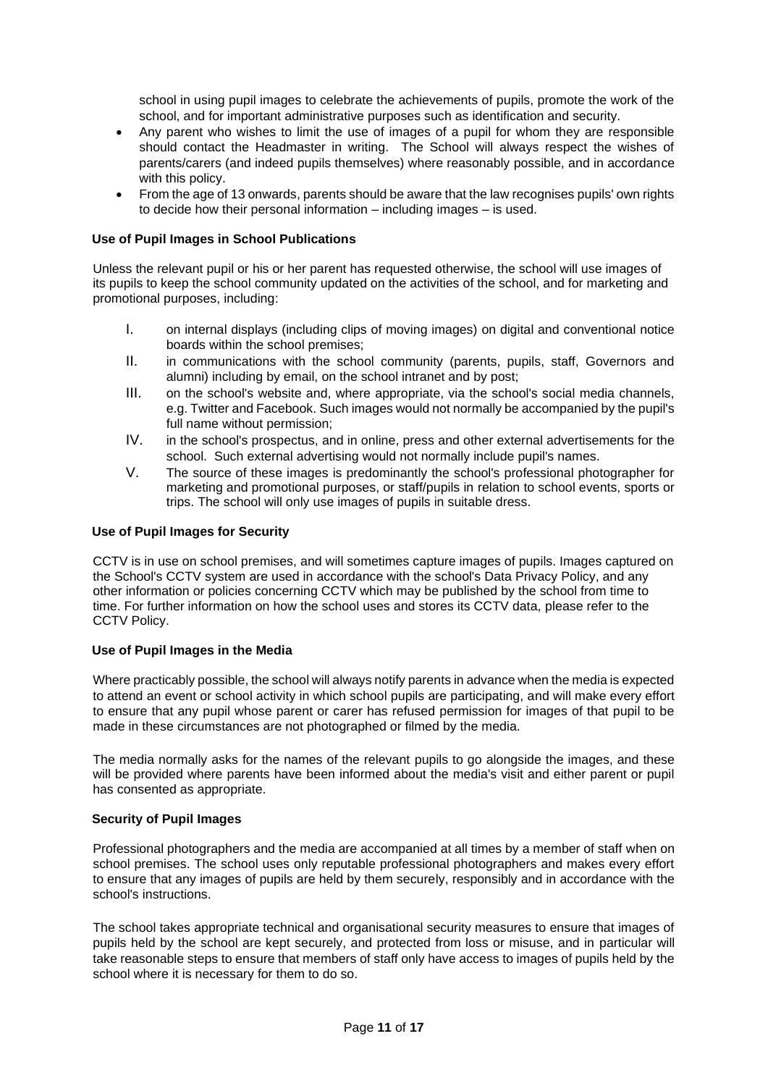school in using pupil images to celebrate the achievements of pupils, promote the work of the school, and for important administrative purposes such as identification and security.

- Any parent who wishes to limit the use of images of a pupil for whom they are responsible should contact the Headmaster in writing. The School will always respect the wishes of parents/carers (and indeed pupils themselves) where reasonably possible, and in accordance with this policy.
- From the age of 13 onwards, parents should be aware that the law recognises pupils' own rights to decide how their personal information – including images – is used.

# <span id="page-10-0"></span>**Use of Pupil Images in School Publications**

Unless the relevant pupil or his or her parent has requested otherwise, the school will use images of its pupils to keep the school community updated on the activities of the school, and for marketing and promotional purposes, including:

- I. on internal displays (including clips of moving images) on digital and conventional notice boards within the school premises;
- II. in communications with the school community (parents, pupils, staff, Governors and alumni) including by email, on the school intranet and by post;
- III. on the school's website and, where appropriate, via the school's social media channels, e.g. Twitter and Facebook. Such images would not normally be accompanied by the pupil's full name without permission;
- IV. in the school's prospectus, and in online, press and other external advertisements for the school. Such external advertising would not normally include pupil's names.
- V. The source of these images is predominantly the school's professional photographer for marketing and promotional purposes, or staff/pupils in relation to school events, sports or trips. The school will only use images of pupils in suitable dress.

# <span id="page-10-1"></span>**Use of Pupil Images for Security**

CCTV is in use on school premises, and will sometimes capture images of pupils. Images captured on the School's CCTV system are used in accordance with the school's Data Privacy Policy, and any other information or policies concerning CCTV which may be published by the school from time to time. For further information on how the school uses and stores its CCTV data, please refer to the CCTV Policy.

#### <span id="page-10-2"></span>**Use of Pupil Images in the Media**

Where practicably possible, the school will always notify parents in advance when the media is expected to attend an event or school activity in which school pupils are participating, and will make every effort to ensure that any pupil whose parent or carer has refused permission for images of that pupil to be made in these circumstances are not photographed or filmed by the media.

The media normally asks for the names of the relevant pupils to go alongside the images, and these will be provided where parents have been informed about the media's visit and either parent or pupil has consented as appropriate.

#### <span id="page-10-3"></span>**Security of Pupil Images**

Professional photographers and the media are accompanied at all times by a member of staff when on school premises. The school uses only reputable professional photographers and makes every effort to ensure that any images of pupils are held by them securely, responsibly and in accordance with the school's instructions.

The school takes appropriate technical and organisational security measures to ensure that images of pupils held by the school are kept securely, and protected from loss or misuse, and in particular will take reasonable steps to ensure that members of staff only have access to images of pupils held by the school where it is necessary for them to do so.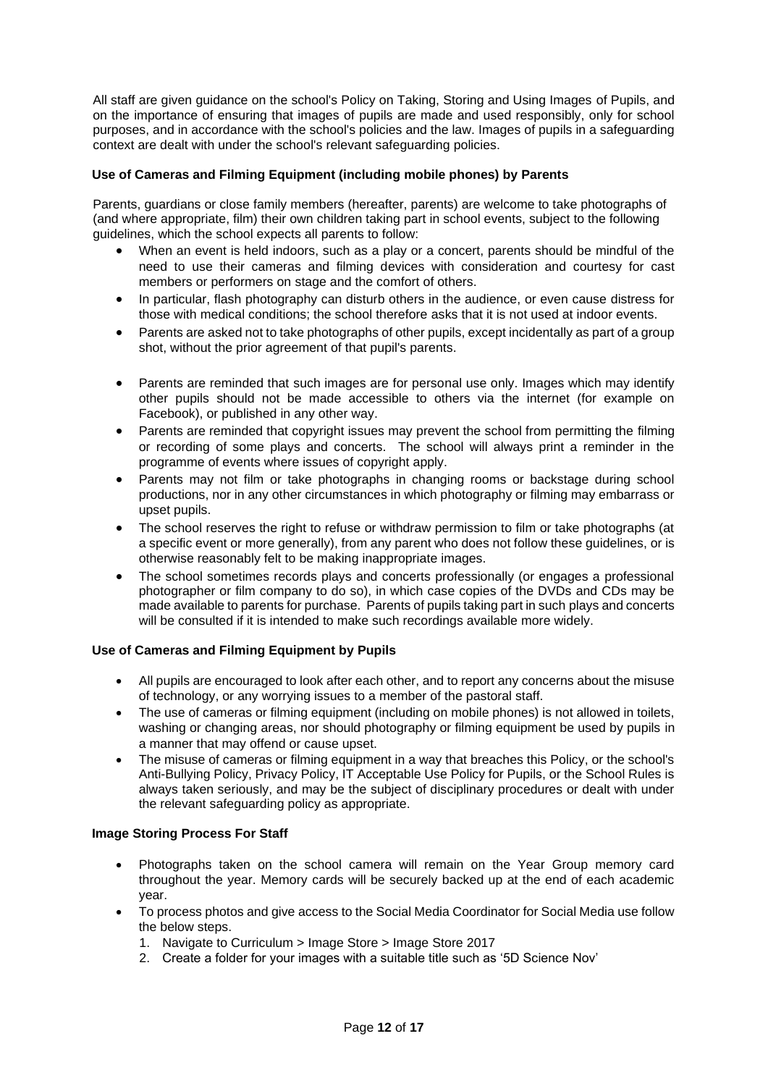All staff are given guidance on the school's Policy on Taking, Storing and Using Images of Pupils, and on the importance of ensuring that images of pupils are made and used responsibly, only for school purposes, and in accordance with the school's policies and the law. Images of pupils in a safeguarding context are dealt with under the school's relevant safeguarding policies.

# <span id="page-11-0"></span>**Use of Cameras and Filming Equipment (including mobile phones) by Parents**

Parents, guardians or close family members (hereafter, parents) are welcome to take photographs of (and where appropriate, film) their own children taking part in school events, subject to the following guidelines, which the school expects all parents to follow:

- When an event is held indoors, such as a play or a concert, parents should be mindful of the need to use their cameras and filming devices with consideration and courtesy for cast members or performers on stage and the comfort of others.
- In particular, flash photography can disturb others in the audience, or even cause distress for those with medical conditions; the school therefore asks that it is not used at indoor events.
- Parents are asked not to take photographs of other pupils, except incidentally as part of a group shot, without the prior agreement of that pupil's parents.
- Parents are reminded that such images are for personal use only. Images which may identify other pupils should not be made accessible to others via the internet (for example on Facebook), or published in any other way.
- Parents are reminded that copyright issues may prevent the school from permitting the filming or recording of some plays and concerts. The school will always print a reminder in the programme of events where issues of copyright apply.
- Parents may not film or take photographs in changing rooms or backstage during school productions, nor in any other circumstances in which photography or filming may embarrass or upset pupils.
- The school reserves the right to refuse or withdraw permission to film or take photographs (at a specific event or more generally), from any parent who does not follow these guidelines, or is otherwise reasonably felt to be making inappropriate images.
- The school sometimes records plays and concerts professionally (or engages a professional photographer or film company to do so), in which case copies of the DVDs and CDs may be made available to parents for purchase. Parents of pupils taking part in such plays and concerts will be consulted if it is intended to make such recordings available more widely.

# <span id="page-11-1"></span>**Use of Cameras and Filming Equipment by Pupils**

- All pupils are encouraged to look after each other, and to report any concerns about the misuse of technology, or any worrying issues to a member of the pastoral staff.
- The use of cameras or filming equipment (including on mobile phones) is not allowed in toilets, washing or changing areas, nor should photography or filming equipment be used by pupils in a manner that may offend or cause upset.
- The misuse of cameras or filming equipment in a way that breaches this Policy, or the school's Anti-Bullying Policy, Privacy Policy, IT Acceptable Use Policy for Pupils, or the School Rules is always taken seriously, and may be the subject of disciplinary procedures or dealt with under the relevant safeguarding policy as appropriate.

# <span id="page-11-2"></span>**Image Storing Process For Staff**

- Photographs taken on the school camera will remain on the Year Group memory card throughout the year. Memory cards will be securely backed up at the end of each academic year.
- To process photos and give access to the Social Media Coordinator for Social Media use follow the below steps.
	- 1. Navigate to Curriculum > Image Store > Image Store 2017
	- 2. Create a folder for your images with a suitable title such as '5D Science Nov'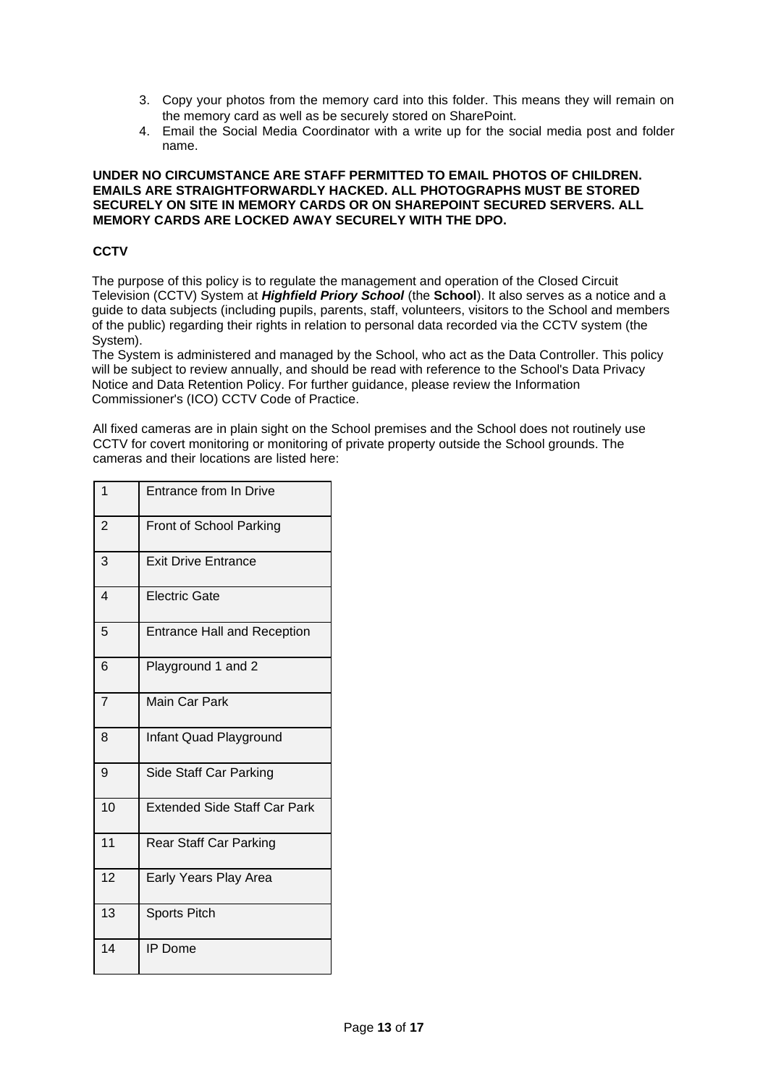- 3. Copy your photos from the memory card into this folder. This means they will remain on the memory card as well as be securely stored on SharePoint.
- 4. Email the Social Media Coordinator with a write up for the social media post and folder name.

#### **UNDER NO CIRCUMSTANCE ARE STAFF PERMITTED TO EMAIL PHOTOS OF CHILDREN. EMAILS ARE STRAIGHTFORWARDLY HACKED. ALL PHOTOGRAPHS MUST BE STORED SECURELY ON SITE IN MEMORY CARDS OR ON SHAREPOINT SECURED SERVERS. ALL MEMORY CARDS ARE LOCKED AWAY SECURELY WITH THE DPO.**

# <span id="page-12-0"></span>**CCTV**

The purpose of this policy is to regulate the management and operation of the Closed Circuit Television (CCTV) System at *Highfield Priory School* (the **School**). It also serves as a notice and a guide to data subjects (including pupils, parents, staff, volunteers, visitors to the School and members of the public) regarding their rights in relation to personal data recorded via the CCTV system (the System).

The System is administered and managed by the School, who act as the Data Controller. This policy will be subject to review annually, and should be read with reference to the School's Data Privacy Notice and Data Retention Policy. For further guidance, please review the Information Commissioner's (ICO) CCTV Code of Practice.

All fixed cameras are in plain sight on the School premises and the School does not routinely use CCTV for covert monitoring or monitoring of private property outside the School grounds. The cameras and their locations are listed here:

| $\mathbf{1}$   | Entrance from In Drive              |
|----------------|-------------------------------------|
| $\overline{2}$ | <b>Front of School Parking</b>      |
| 3              | <b>Exit Drive Entrance</b>          |
| $\overline{4}$ | <b>Electric Gate</b>                |
| 5              | <b>Entrance Hall and Reception</b>  |
| 6              | Playground 1 and 2                  |
| $\overline{7}$ | <b>Main Car Park</b>                |
| 8              | Infant Quad Playground              |
| 9              | Side Staff Car Parking              |
| 10             | <b>Extended Side Staff Car Park</b> |
| 11             | Rear Staff Car Parking              |
| 12             | Early Years Play Area               |
| 13             | <b>Sports Pitch</b>                 |
| 14             | <b>IP</b> Dome                      |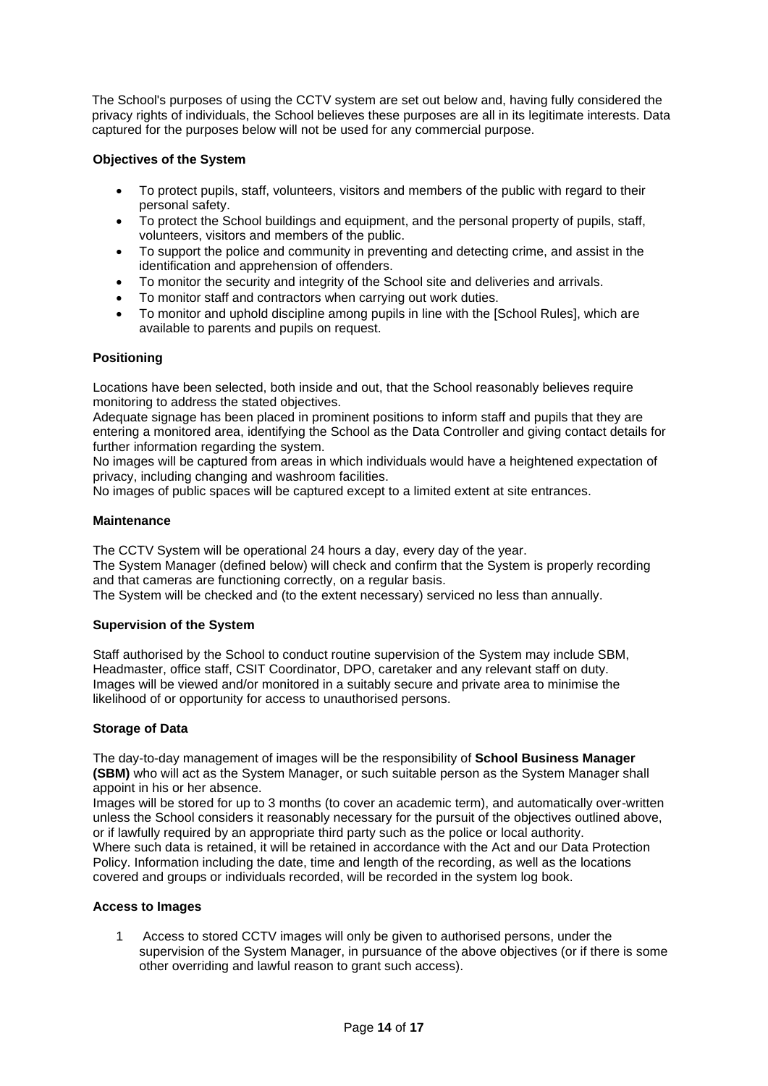The School's purposes of using the CCTV system are set out below and, having fully considered the privacy rights of individuals, the School believes these purposes are all in its legitimate interests. Data captured for the purposes below will not be used for any commercial purpose.

# <span id="page-13-0"></span>**Objectives of the System**

- To protect pupils, staff, volunteers, visitors and members of the public with regard to their personal safety.
- To protect the School buildings and equipment, and the personal property of pupils, staff, volunteers, visitors and members of the public.
- To support the police and community in preventing and detecting crime, and assist in the identification and apprehension of offenders.
- To monitor the security and integrity of the School site and deliveries and arrivals.
- To monitor staff and contractors when carrying out work duties.
- To monitor and uphold discipline among pupils in line with the [School Rules], which are available to parents and pupils on request.

# <span id="page-13-1"></span>**Positioning**

Locations have been selected, both inside and out, that the School reasonably believes require monitoring to address the stated objectives.

Adequate signage has been placed in prominent positions to inform staff and pupils that they are entering a monitored area, identifying the School as the Data Controller and giving contact details for further information regarding the system.

No images will be captured from areas in which individuals would have a heightened expectation of privacy, including changing and washroom facilities.

No images of public spaces will be captured except to a limited extent at site entrances.

# <span id="page-13-2"></span>**Maintenance**

The CCTV System will be operational 24 hours a day, every day of the year.

The System Manager (defined below) will check and confirm that the System is properly recording and that cameras are functioning correctly, on a regular basis.

The System will be checked and (to the extent necessary) serviced no less than annually.

# <span id="page-13-3"></span>**Supervision of the System**

Staff authorised by the School to conduct routine supervision of the System may include SBM, Headmaster, office staff, CSIT Coordinator, DPO, caretaker and any relevant staff on duty. Images will be viewed and/or monitored in a suitably secure and private area to minimise the likelihood of or opportunity for access to unauthorised persons.

#### <span id="page-13-4"></span>**Storage of Data**

The day-to-day management of images will be the responsibility of **School Business Manager (SBM)** who will act as the System Manager, or such suitable person as the System Manager shall appoint in his or her absence.

Images will be stored for up to 3 months (to cover an academic term), and automatically over-written unless the School considers it reasonably necessary for the pursuit of the objectives outlined above, or if lawfully required by an appropriate third party such as the police or local authority. Where such data is retained, it will be retained in accordance with the Act and our Data Protection Policy. Information including the date, time and length of the recording, as well as the locations covered and groups or individuals recorded, will be recorded in the system log book.

#### <span id="page-13-5"></span>**Access to Images**

1 Access to stored CCTV images will only be given to authorised persons, under the supervision of the System Manager, in pursuance of the above objectives (or if there is some other overriding and lawful reason to grant such access).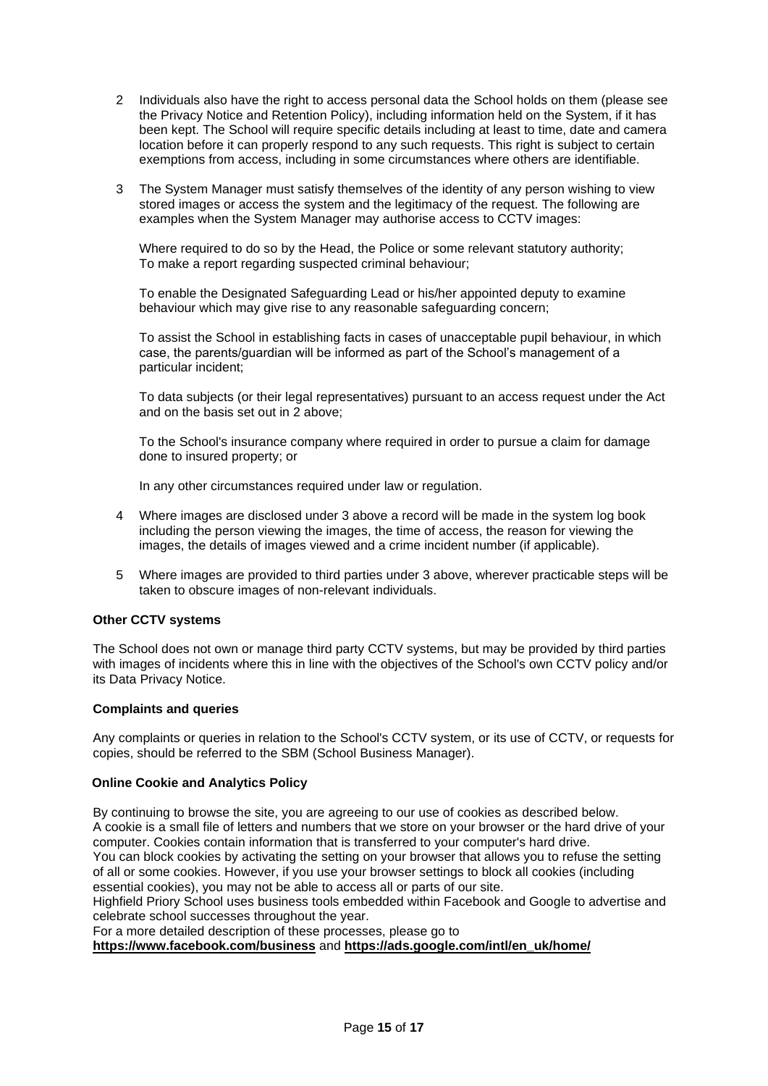- 2 Individuals also have the right to access personal data the School holds on them (please see the Privacy Notice and Retention Policy), including information held on the System, if it has been kept. The School will require specific details including at least to time, date and camera location before it can properly respond to any such requests. This right is subject to certain exemptions from access, including in some circumstances where others are identifiable.
- 3 The System Manager must satisfy themselves of the identity of any person wishing to view stored images or access the system and the legitimacy of the request. The following are examples when the System Manager may authorise access to CCTV images:

Where required to do so by the Head, the Police or some relevant statutory authority; To make a report regarding suspected criminal behaviour;

To enable the Designated Safeguarding Lead or his/her appointed deputy to examine behaviour which may give rise to any reasonable safeguarding concern;

To assist the School in establishing facts in cases of unacceptable pupil behaviour, in which case, the parents/guardian will be informed as part of the School's management of a particular incident;

To data subjects (or their legal representatives) pursuant to an access request under the Act and on the basis set out in 2 above;

To the School's insurance company where required in order to pursue a claim for damage done to insured property; or

In any other circumstances required under law or regulation.

- 4 Where images are disclosed under 3 above a record will be made in the system log book including the person viewing the images, the time of access, the reason for viewing the images, the details of images viewed and a crime incident number (if applicable).
- 5 Where images are provided to third parties under 3 above, wherever practicable steps will be taken to obscure images of non-relevant individuals.

#### <span id="page-14-0"></span>**Other CCTV systems**

The School does not own or manage third party CCTV systems, but may be provided by third parties with images of incidents where this in line with the objectives of the School's own CCTV policy and/or its Data Privacy Notice.

#### <span id="page-14-1"></span>**Complaints and queries**

Any complaints or queries in relation to the School's CCTV system, or its use of CCTV, or requests for copies, should be referred to the SBM (School Business Manager).

#### <span id="page-14-2"></span>**Online Cookie and Analytics Policy**

By continuing to browse the site, you are agreeing to our use of cookies as described below. A cookie is a small file of letters and numbers that we store on your browser or the hard drive of your computer. Cookies contain information that is transferred to your computer's hard drive. You can block cookies by activating the setting on your browser that allows you to refuse the setting of all or some cookies. However, if you use your browser settings to block all cookies (including essential cookies), you may not be able to access all or parts of our site.

Highfield Priory School uses business tools embedded within Facebook and Google to advertise and celebrate school successes throughout the year.

For a more detailed description of these processes, please go to

**<https://www.facebook.com/business>** and **[https://ads.google.com/intl/en\\_uk/home/](https://ads.google.com/intl/en_uk/home/)**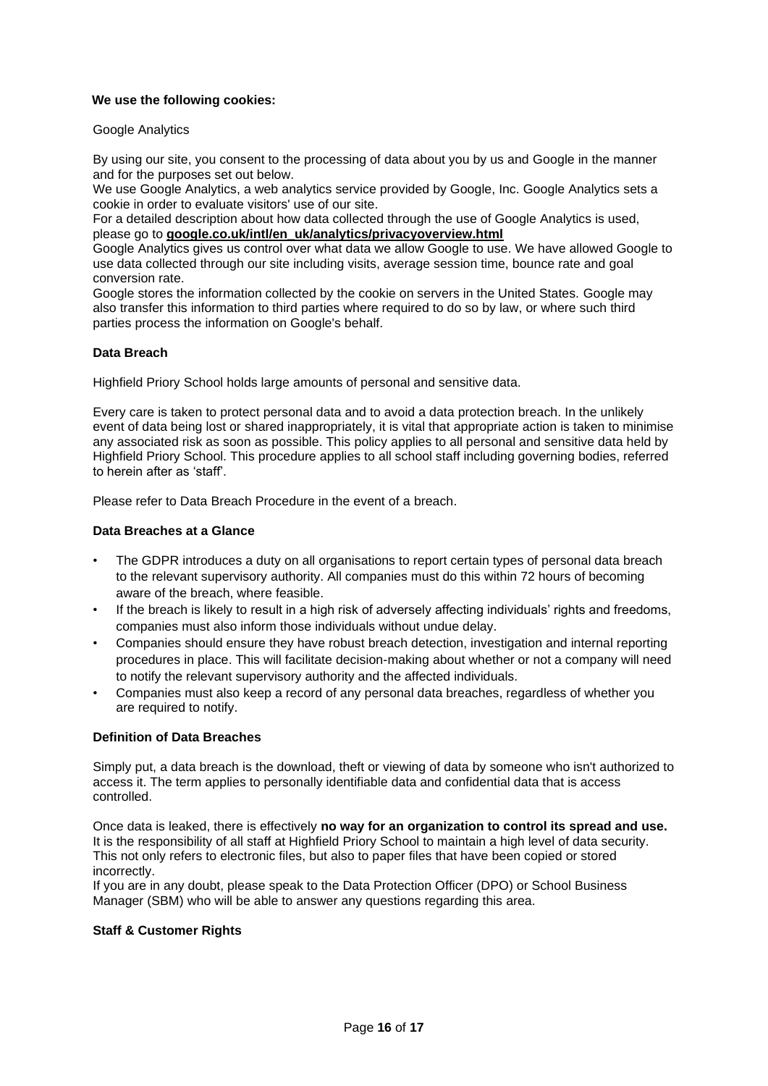# <span id="page-15-0"></span>**We use the following cookies:**

#### Google Analytics

By using our site, you consent to the processing of data about you by us and Google in the manner and for the purposes set out below.

We use Google Analytics, a web analytics service provided by Google, Inc. Google Analytics sets a cookie in order to evaluate visitors' use of our site.

For a detailed description about how data collected through the use of Google Analytics is used, please go to **[google.co.uk/intl/en\\_uk/analytics/privacyoverview.html](http://google.co.uk/intl/en_uk/analytics/privacyoverview.html)**

Google Analytics gives us control over what data we allow Google to use. We have allowed Google to use data collected through our site including visits, average session time, bounce rate and goal conversion rate.

Google stores the information collected by the cookie on servers in the United States. Google may also transfer this information to third parties where required to do so by law, or where such third parties process the information on Google's behalf.

# <span id="page-15-1"></span>**Data Breach**

Highfield Priory School holds large amounts of personal and sensitive data.

Every care is taken to protect personal data and to avoid a data protection breach. In the unlikely event of data being lost or shared inappropriately, it is vital that appropriate action is taken to minimise any associated risk as soon as possible. This policy applies to all personal and sensitive data held by Highfield Priory School. This procedure applies to all school staff including governing bodies, referred to herein after as 'staff'.

Please refer to Data Breach Procedure in the event of a breach.

# <span id="page-15-2"></span>**Data Breaches at a Glance**

- The GDPR introduces a duty on all organisations to report certain types of personal data breach to the relevant supervisory authority. All companies must do this within 72 hours of becoming aware of the breach, where feasible.
- If the breach is likely to result in a high risk of adversely affecting individuals' rights and freedoms, companies must also inform those individuals without undue delay.
- Companies should ensure they have robust breach detection, investigation and internal reporting procedures in place. This will facilitate decision-making about whether or not a company will need to notify the relevant supervisory authority and the affected individuals.
- Companies must also keep a record of any personal data breaches, regardless of whether you are required to notify.

#### <span id="page-15-3"></span>**Definition of Data Breaches**

Simply put, a data breach is the download, theft or viewing of data by someone who isn't authorized to access it. The term applies to personally identifiable data and confidential data that is access controlled.

Once data is leaked, there is effectively **no way for an organization to control its spread and use.** It is the responsibility of all staff at Highfield Priory School to maintain a high level of data security. This not only refers to electronic files, but also to paper files that have been copied or stored incorrectly.

If you are in any doubt, please speak to the Data Protection Officer (DPO) or School Business Manager (SBM) who will be able to answer any questions regarding this area.

#### <span id="page-15-4"></span>**Staff & Customer Rights**